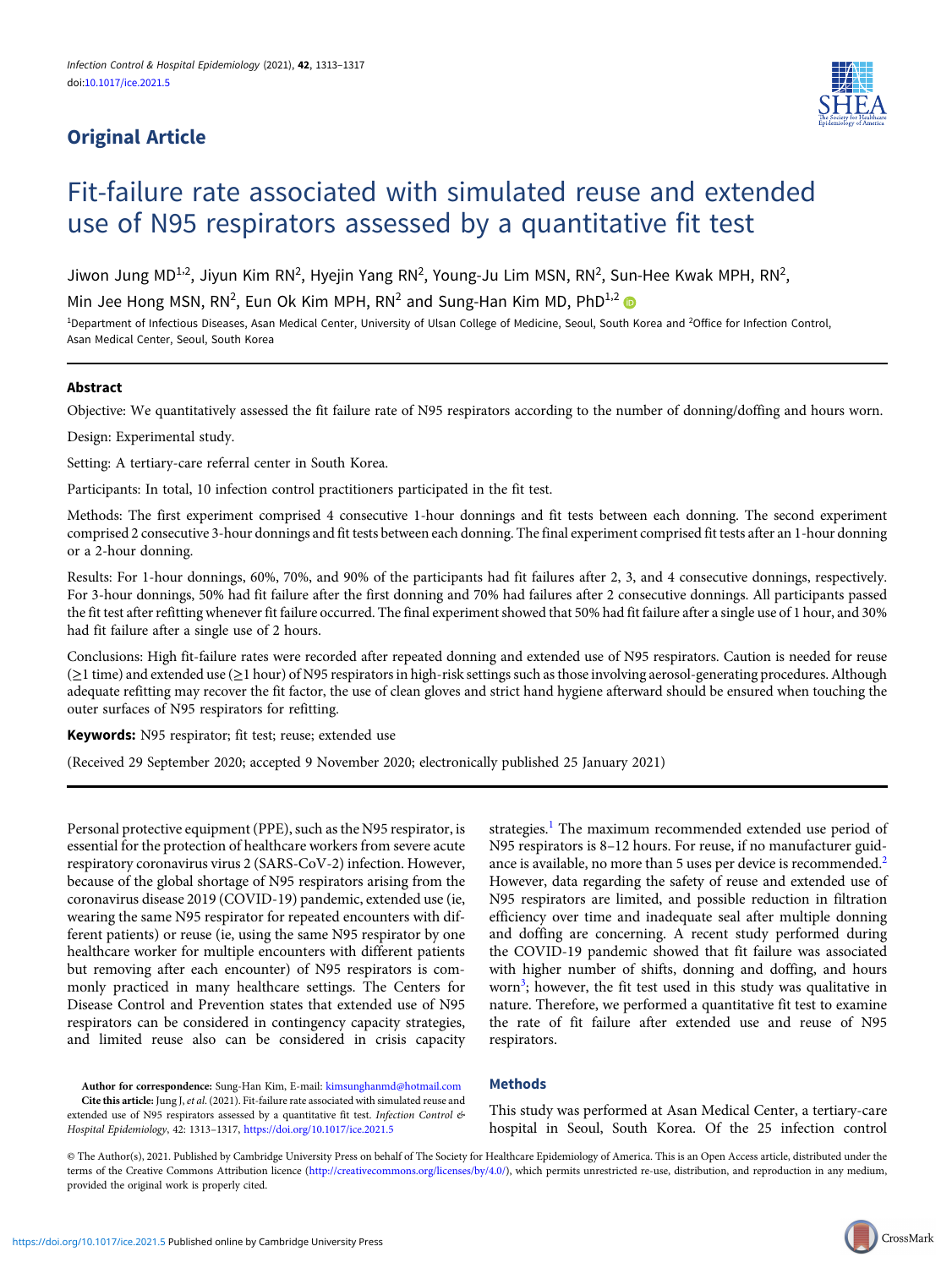# Original Article



# Fit-failure rate associated with simulated reuse and extended use of N95 respirators assessed by a quantitative fit test

Jiwon Jung MD<sup>1,2</sup>, Jiyun Kim RN<sup>2</sup>, Hyejin Yang RN<sup>2</sup>, Young-Ju Lim MSN, RN<sup>2</sup>, Sun-Hee Kwak MPH, RN<sup>2</sup>,

Min Jee Hong MSN, RN<sup>2</sup>, Eun Ok Kim MPH, RN<sup>2</sup> and Sung-Han Kim MD, PhD<sup>1,2</sup>

<sup>1</sup>Department of Infectious Diseases, Asan Medical Center, University of Ulsan College of Medicine, Seoul, South Korea and <sup>2</sup>Office for Infection Control, Asan Medical Center, Seoul, South Korea

## Abstract

Objective: We quantitatively assessed the fit failure rate of N95 respirators according to the number of donning/doffing and hours worn.

Design: Experimental study.

Setting: A tertiary-care referral center in South Korea.

Participants: In total, 10 infection control practitioners participated in the fit test.

Methods: The first experiment comprised 4 consecutive 1-hour donnings and fit tests between each donning. The second experiment comprised 2 consecutive 3-hour donnings and fit tests between each donning. The final experiment comprised fit tests after an 1-hour donning or a 2-hour donning.

Results: For 1-hour donnings, 60%, 70%, and 90% of the participants had fit failures after 2, 3, and 4 consecutive donnings, respectively. For 3-hour donnings, 50% had fit failure after the first donning and 70% had failures after 2 consecutive donnings. All participants passed the fit test after refitting whenever fit failure occurred. The final experiment showed that 50% had fit failure after a single use of 1 hour, and 30% had fit failure after a single use of 2 hours.

Conclusions: High fit-failure rates were recorded after repeated donning and extended use of N95 respirators. Caution is needed for reuse (≥1 time) and extended use (≥1 hour) of N95 respirators in high-risk settings such as those involving aerosol-generating procedures. Although adequate refitting may recover the fit factor, the use of clean gloves and strict hand hygiene afterward should be ensured when touching the outer surfaces of N95 respirators for refitting.

Keywords: N95 respirator; fit test; reuse; extended use

(Received 29 September 2020; accepted 9 November 2020; electronically published 25 January 2021)

Personal protective equipment (PPE), such as the N95 respirator, is essential for the protection of healthcare workers from severe acute respiratory coronavirus virus 2 (SARS-CoV-2) infection. However, because of the global shortage of N95 respirators arising from the coronavirus disease 2019 (COVID-19) pandemic, extended use (ie, wearing the same N95 respirator for repeated encounters with different patients) or reuse (ie, using the same N95 respirator by one healthcare worker for multiple encounters with different patients but removing after each encounter) of N95 respirators is commonly practiced in many healthcare settings. The Centers for Disease Control and Prevention states that extended use of N95 respirators can be considered in contingency capacity strategies, and limited reuse also can be considered in crisis capacity

strategies.<sup>[1](#page-3-0)</sup> The maximum recommended extended use period of N95 respirators is 8–12 hours. For reuse, if no manufacturer guid-ance is available, no more than 5 uses per device is recommended.<sup>[2](#page-4-0)</sup> However, data regarding the safety of reuse and extended use of N95 respirators are limited, and possible reduction in filtration efficiency over time and inadequate seal after multiple donning and doffing are concerning. A recent study performed during the COVID-19 pandemic showed that fit failure was associated with higher number of shifts, donning and doffing, and hours worn<sup>[3](#page-4-0)</sup>; however, the fit test used in this study was qualitative in nature. Therefore, we performed a quantitative fit test to examine the rate of fit failure after extended use and reuse of N95 respirators.

Author for correspondence: Sung-Han Kim, E-mail: [kimsunghanmd@hotmail.com](mailto:kimsunghanmd@hotmail.com) Cite this article: Jung J, et al. (2021). Fit-failure rate associated with simulated reuse and extended use of N95 respirators assessed by a quantitative fit test. Infection Control & Hospital Epidemiology, 42: 1313–1317, <https://doi.org/10.1017/ice.2021.5>

## Methods

This study was performed at Asan Medical Center, a tertiary-care hospital in Seoul, South Korea. Of the 25 infection control

© The Author(s), 2021. Published by Cambridge University Press on behalf of The Society for Healthcare Epidemiology of America. This is an Open Access article, distributed under the terms of the Creative Commons Attribution licence [\(http://creativecommons.org/licenses/by/4.0/](http://creativecommons.org/licenses/by/4.0/)), which permits unrestricted re-use, distribution, and reproduction in any medium, provided the original work is properly cited.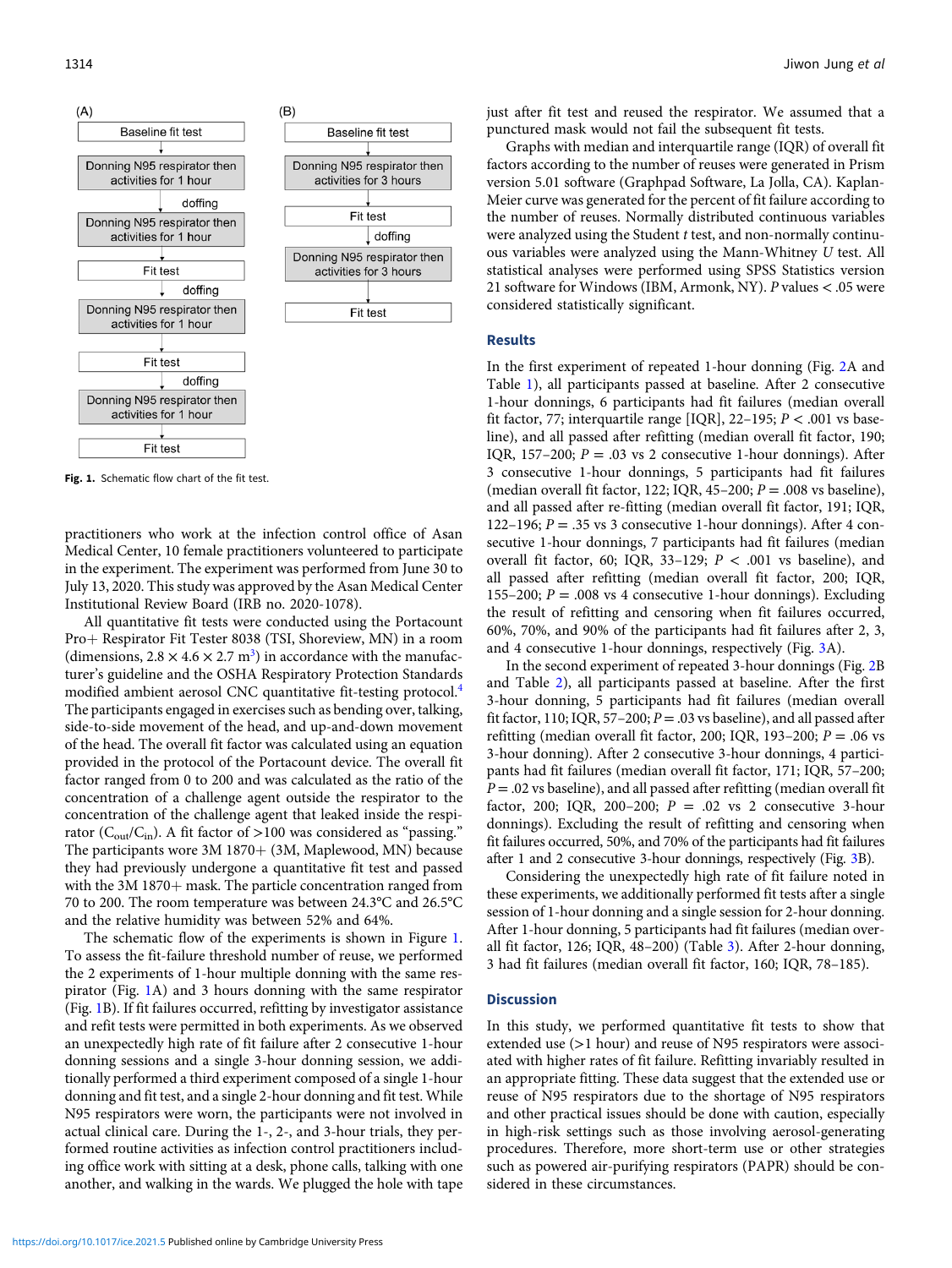

Fig. 1. Schematic flow chart of the fit test.

practitioners who work at the infection control office of Asan Medical Center, 10 female practitioners volunteered to participate in the experiment. The experiment was performed from June 30 to July 13, 2020. This study was approved by the Asan Medical Center Institutional Review Board (IRB no. 2020-1078).

All quantitative fit tests were conducted using the Portacount Pro+ Respirator Fit Tester 8038 (TSI, Shoreview, MN) in a room (dimensions,  $2.8 \times 4.6 \times 2.7$  m<sup>[3](#page-4-0)</sup>) in accordance with the manufacturer's guideline and the OSHA Respiratory Protection Standards modified ambient aerosol CNC quantitative fit-testing protocol.[4](#page-4-0) The participants engaged in exercises such as bending over, talking, side-to-side movement of the head, and up-and-down movement of the head. The overall fit factor was calculated using an equation provided in the protocol of the Portacount device. The overall fit factor ranged from 0 to 200 and was calculated as the ratio of the concentration of a challenge agent outside the respirator to the concentration of the challenge agent that leaked inside the respirator ( $C_{\text{out}}/C_{\text{in}}$ ). A fit factor of >100 was considered as "passing." The participants wore  $3M_1870 + (3M, Maplewood, MN)$  because they had previously undergone a quantitative fit test and passed with the  $3M 1870 +$  mask. The particle concentration ranged from 70 to 200. The room temperature was between 24.3°C and 26.5°C and the relative humidity was between 52% and 64%.

The schematic flow of the experiments is shown in Figure 1. To assess the fit-failure threshold number of reuse, we performed the 2 experiments of 1-hour multiple donning with the same respirator (Fig. 1A) and 3 hours donning with the same respirator (Fig. 1B). If fit failures occurred, refitting by investigator assistance and refit tests were permitted in both experiments. As we observed an unexpectedly high rate of fit failure after 2 consecutive 1-hour donning sessions and a single 3-hour donning session, we additionally performed a third experiment composed of a single 1-hour donning and fit test, and a single 2-hour donning and fit test. While N95 respirators were worn, the participants were not involved in actual clinical care. During the 1-, 2-, and 3-hour trials, they performed routine activities as infection control practitioners including office work with sitting at a desk, phone calls, talking with one another, and walking in the wards. We plugged the hole with tape just after fit test and reused the respirator. We assumed that a punctured mask would not fail the subsequent fit tests.

Graphs with median and interquartile range (IQR) of overall fit factors according to the number of reuses were generated in Prism version 5.01 software (Graphpad Software, La Jolla, CA). Kaplan-Meier curve was generated for the percent of fit failure according to the number of reuses. Normally distributed continuous variables were analyzed using the Student t test, and non-normally continuous variables were analyzed using the Mann-Whitney U test. All statistical analyses were performed using SPSS Statistics version 21 software for Windows (IBM, Armonk, NY). P values < .05 were considered statistically significant.

#### Results

In the first experiment of repeated 1-hour donning (Fig. [2A](#page-2-0) and Table [1\)](#page-2-0), all participants passed at baseline. After 2 consecutive 1-hour donnings, 6 participants had fit failures (median overall fit factor, 77; interquartile range [IQR], 22-195;  $P < .001$  vs baseline), and all passed after refitting (median overall fit factor, 190; IQR, 157–200;  $P = .03$  vs 2 consecutive 1-hour donnings). After 3 consecutive 1-hour donnings, 5 participants had fit failures (median overall fit factor, 122; IQR, 45–200;  $P = .008$  vs baseline), and all passed after re-fitting (median overall fit factor, 191; IQR, 122–196;  $P = 0.35$  vs 3 consecutive 1-hour donnings). After 4 consecutive 1-hour donnings, 7 participants had fit failures (median overall fit factor, 60; IQR, 33-129;  $P < .001$  vs baseline), and all passed after refitting (median overall fit factor, 200; IQR, 155–200;  $P = .008$  vs 4 consecutive 1-hour donnings). Excluding the result of refitting and censoring when fit failures occurred, 60%, 70%, and 90% of the participants had fit failures after 2, 3, and 4 consecutive 1-hour donnings, respectively (Fig. [3A](#page-2-0)).

In the second experiment of repeated 3-hour donnings (Fig. [2B](#page-2-0) and Table [2](#page-3-0)), all participants passed at baseline. After the first 3-hour donning, 5 participants had fit failures (median overall fit factor, 110; IQR, 57-200;  $P = .03$  vs baseline), and all passed after refitting (median overall fit factor, 200; IQR, 193–200;  $P = .06$  vs 3-hour donning). After 2 consecutive 3-hour donnings, 4 participants had fit failures (median overall fit factor, 171; IQR, 57–200;  $P = 0.02$  vs baseline), and all passed after refitting (median overall fit factor, 200; IQR, 200-200;  $P = .02$  vs 2 consecutive 3-hour donnings). Excluding the result of refitting and censoring when fit failures occurred, 50%, and 70% of the participants had fit failures after 1 and 2 consecutive 3-hour donnings, respectively (Fig. [3B](#page-2-0)).

Considering the unexpectedly high rate of fit failure noted in these experiments, we additionally performed fit tests after a single session of 1-hour donning and a single session for 2-hour donning. After 1-hour donning, 5 participants had fit failures (median overall fit factor, 126; IQR, 48–200) (Table [3\)](#page-3-0). After 2-hour donning, 3 had fit failures (median overall fit factor, 160; IQR, 78–185).

#### **Discussion**

In this study, we performed quantitative fit tests to show that extended use (>1 hour) and reuse of N95 respirators were associated with higher rates of fit failure. Refitting invariably resulted in an appropriate fitting. These data suggest that the extended use or reuse of N95 respirators due to the shortage of N95 respirators and other practical issues should be done with caution, especially in high-risk settings such as those involving aerosol-generating procedures. Therefore, more short-term use or other strategies such as powered air-purifying respirators (PAPR) should be considered in these circumstances.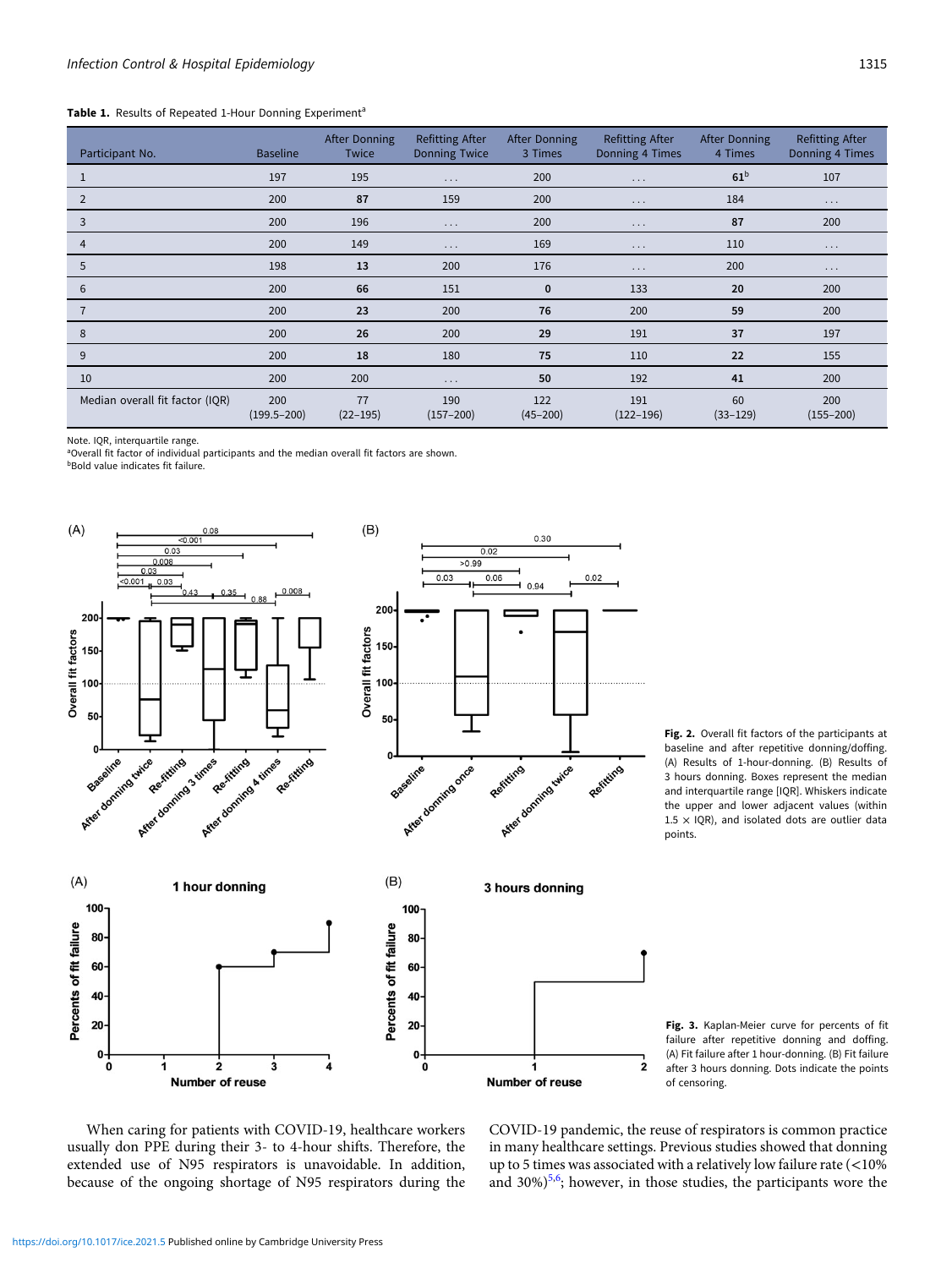#### <span id="page-2-0"></span>Table 1. Results of Repeated 1-Hour Donning Experiment<sup>a</sup>

| Participant No.                 | <b>Baseline</b>        | After Donning<br><b>Twice</b> | <b>Refitting After</b><br><b>Donning Twice</b> | After Donning<br>3 Times | <b>Refitting After</b><br>Donning 4 Times | <b>After Donning</b><br>4 Times | <b>Refitting After</b><br>Donning 4 Times |
|---------------------------------|------------------------|-------------------------------|------------------------------------------------|--------------------------|-------------------------------------------|---------------------------------|-------------------------------------------|
|                                 | 197                    | 195                           | $\cdots$                                       | 200                      | $\cdots$                                  | 61 <sup>b</sup>                 | 107                                       |
| 2                               | 200                    | 87                            | 159                                            | 200                      | $\cdots$                                  | 184                             | $\cdots$                                  |
| 3                               | 200                    | 196                           | $\cdots$                                       | 200                      | $\cdots$                                  | 87                              | 200                                       |
| 4                               | 200                    | 149                           | $\cdots$                                       | 169                      | $\cdots$                                  | 110                             | $\cdots$                                  |
| 5                               | 198                    | 13                            | 200                                            | 176                      | $\cdots$                                  | 200                             | $\cdots$                                  |
| 6                               | 200                    | 66                            | 151                                            | $\mathbf{0}$             | 133                                       | 20                              | 200                                       |
| $\overline{7}$                  | 200                    | 23                            | 200                                            | 76                       | 200                                       | 59                              | 200                                       |
| 8                               | 200                    | 26                            | 200                                            | 29                       | 191                                       | 37                              | 197                                       |
| 9                               | 200                    | 18                            | 180                                            | 75                       | 110                                       | 22                              | 155                                       |
| 10                              | 200                    | 200                           | $\cdots$                                       | 50                       | 192                                       | 41                              | 200                                       |
| Median overall fit factor (IQR) | 200<br>$(199.5 - 200)$ | 77<br>$(22 - 195)$            | 190<br>$(157 - 200)$                           | 122<br>$(45 - 200)$      | 191<br>$(122 - 196)$                      | 60<br>$(33 - 129)$              | 200<br>$(155 - 200)$                      |

Note. IQR, interquartile range. a Overall fit factor of individual participants and the median overall fit factors are shown.

**bBold value indicates fit failure.** 



Fig. 2. Overall fit factors of the participants at baseline and after repetitive donning/doffing. (A) Results of 1-hour-donning. (B) Results of 3 hours donning. Boxes represent the median and interquartile range [IQR]. Whiskers indicate the upper and lower adjacent values (within  $1.5 \times$  IQR), and isolated dots are outlier data points.

Fig. 3. Kaplan-Meier curve for percents of fit failure after repetitive donning and doffing. (A) Fit failure after 1 hour-donning. (B) Fit failure after 3 hours donning. Dots indicate the points of censoring.

When caring for patients with COVID-19, healthcare workers usually don PPE during their 3- to 4-hour shifts. Therefore, the extended use of N95 respirators is unavoidable. In addition, because of the ongoing shortage of N95 respirators during the

COVID-19 pandemic, the reuse of respirators is common practice in many healthcare settings. Previous studies showed that donning up to 5 times was associated with a relatively low failure rate (<10% and 30%)<sup>[5](#page-4-0),[6](#page-4-0)</sup>; however, in those studies, the participants wore the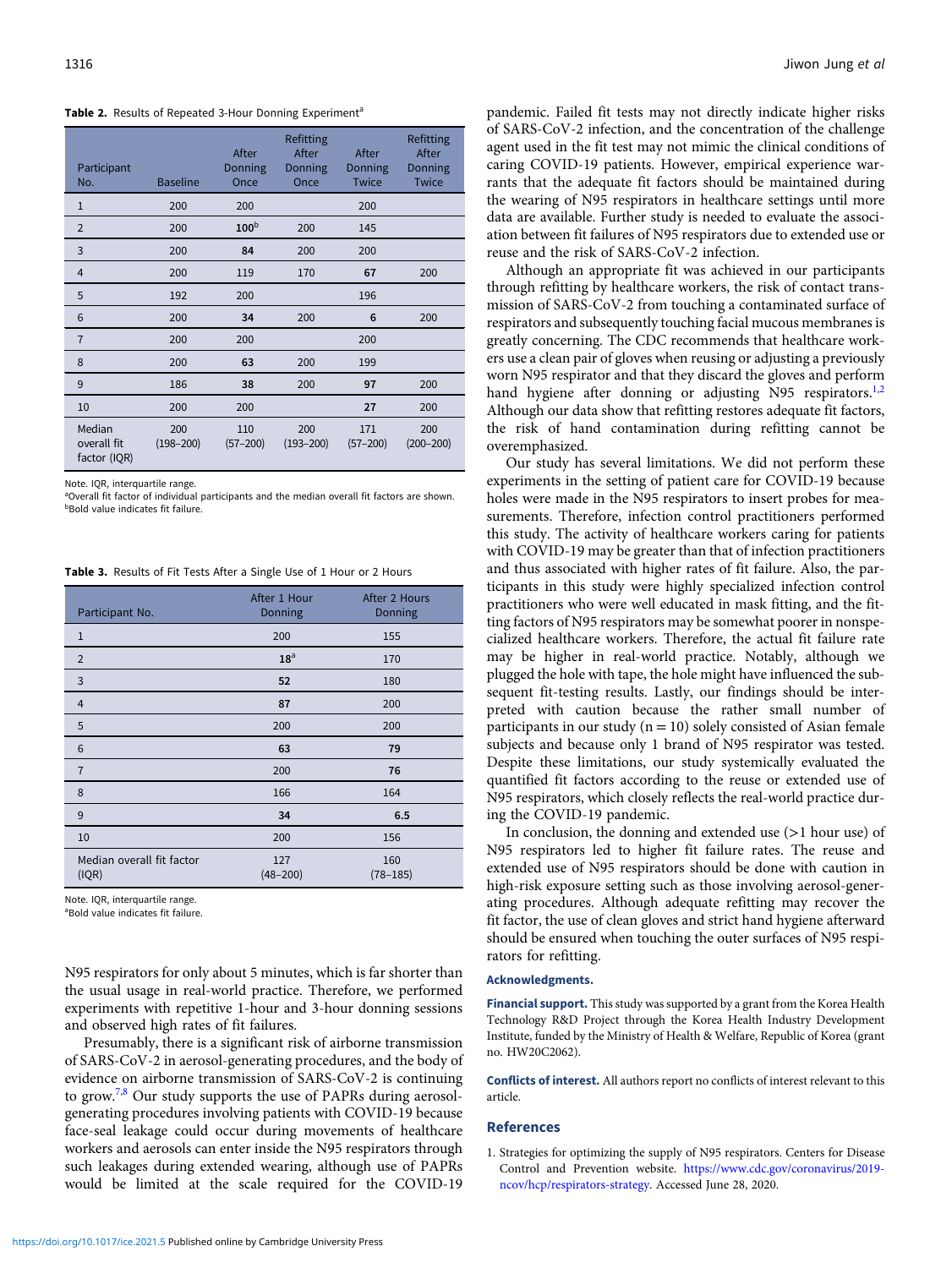<span id="page-3-0"></span>

|  |  |  |  |  | Table 2. Results of Repeated 3-Hour Donning Experiment <sup>a</sup> |
|--|--|--|--|--|---------------------------------------------------------------------|
|--|--|--|--|--|---------------------------------------------------------------------|

| Participant<br>No.                    | <b>Baseline</b>      | After<br>Donning<br>Once | Refitting<br>After<br>Donning<br>Once | After<br>Donning<br><b>Twice</b> | Refitting<br>After<br>Donning<br><b>Twice</b> |
|---------------------------------------|----------------------|--------------------------|---------------------------------------|----------------------------------|-----------------------------------------------|
| 1                                     | 200                  | 200                      |                                       | 200                              |                                               |
| $\overline{2}$                        | 200                  | 100 <sup>b</sup>         | 200                                   | 145                              |                                               |
| 3                                     | 200                  | 84                       | 200                                   | 200                              |                                               |
| 4                                     | 200                  | 119                      | 170                                   | 67                               | 200                                           |
| 5                                     | 192                  | 200                      |                                       | 196                              |                                               |
| 6                                     | 200                  | 34                       | 200                                   | 6                                | 200                                           |
| $\overline{7}$                        | 200                  | 200                      |                                       | 200                              |                                               |
| 8                                     | 200                  | 63                       | 200                                   | 199                              |                                               |
| 9                                     | 186                  | 38                       | 200                                   | 97                               | 200                                           |
| 10                                    | 200                  | 200                      |                                       | 27                               | 200                                           |
| Median<br>overall fit<br>factor (IQR) | 200<br>$(198 - 200)$ | 110<br>$(57 - 200)$      | 200<br>$(193 - 200)$                  | 171<br>$(57 - 200)$              | 200<br>$(200 - 200)$                          |

Note. IQR, interquartile range.

aOverall fit factor of individual participants and the median overall fit factors are shown. bBold value indicates fit failure.

Table 3. Results of Fit Tests After a Single Use of 1 Hour or 2 Hours

| Participant No.                    | After 1 Hour<br>Donning | After 2 Hours<br>Donning |
|------------------------------------|-------------------------|--------------------------|
| $\mathbf{1}$                       | 200                     | 155                      |
| $\overline{2}$                     | 18 <sup>a</sup>         | 170                      |
| 3                                  | 52                      | 180                      |
| $\overline{4}$                     | 87                      | 200                      |
| 5                                  | 200                     | 200                      |
| 6                                  | 63                      | 79                       |
| $\overline{7}$                     | 200                     | 76                       |
| 8                                  | 166                     | 164                      |
| 9                                  | 34                      | 6.5                      |
| 10                                 | 200                     | 156                      |
| Median overall fit factor<br>(IQR) | 127<br>$(48 - 200)$     | 160<br>$(78 - 185)$      |

Note. IQR, interquartile range.

<sup>a</sup>Bold value indicates fit failure.

N95 respirators for only about 5 minutes, which is far shorter than the usual usage in real-world practice. Therefore, we performed experiments with repetitive 1-hour and 3-hour donning sessions and observed high rates of fit failures.

Presumably, there is a significant risk of airborne transmission of SARS-CoV-2 in aerosol-generating procedures, and the body of evidence on airborne transmission of SARS-CoV-2 is continuing to grow.<sup>[7](#page-4-0),[8](#page-4-0)</sup> Our study supports the use of PAPRs during aerosolgenerating procedures involving patients with COVID-19 because face-seal leakage could occur during movements of healthcare workers and aerosols can enter inside the N95 respirators through such leakages during extended wearing, although use of PAPRs would be limited at the scale required for the COVID-19

pandemic. Failed fit tests may not directly indicate higher risks of SARS-CoV-2 infection, and the concentration of the challenge agent used in the fit test may not mimic the clinical conditions of caring COVID-19 patients. However, empirical experience warrants that the adequate fit factors should be maintained during the wearing of N95 respirators in healthcare settings until more data are available. Further study is needed to evaluate the association between fit failures of N95 respirators due to extended use or reuse and the risk of SARS-CoV-2 infection.

Although an appropriate fit was achieved in our participants through refitting by healthcare workers, the risk of contact transmission of SARS-CoV-2 from touching a contaminated surface of respirators and subsequently touching facial mucous membranes is greatly concerning. The CDC recommends that healthcare workers use a clean pair of gloves when reusing or adjusting a previously worn N95 respirator and that they discard the gloves and perform hand hygiene after donning or adjusting N95 respirators.<sup>1[,2](#page-4-0)</sup> Although our data show that refitting restores adequate fit factors, the risk of hand contamination during refitting cannot be overemphasized.

Our study has several limitations. We did not perform these experiments in the setting of patient care for COVID-19 because holes were made in the N95 respirators to insert probes for measurements. Therefore, infection control practitioners performed this study. The activity of healthcare workers caring for patients with COVID-19 may be greater than that of infection practitioners and thus associated with higher rates of fit failure. Also, the participants in this study were highly specialized infection control practitioners who were well educated in mask fitting, and the fitting factors of N95 respirators may be somewhat poorer in nonspecialized healthcare workers. Therefore, the actual fit failure rate may be higher in real-world practice. Notably, although we plugged the hole with tape, the hole might have influenced the subsequent fit-testing results. Lastly, our findings should be interpreted with caution because the rather small number of participants in our study ( $n = 10$ ) solely consisted of Asian female subjects and because only 1 brand of N95 respirator was tested. Despite these limitations, our study systemically evaluated the quantified fit factors according to the reuse or extended use of N95 respirators, which closely reflects the real-world practice during the COVID-19 pandemic.

In conclusion, the donning and extended use (>1 hour use) of N95 respirators led to higher fit failure rates. The reuse and extended use of N95 respirators should be done with caution in high-risk exposure setting such as those involving aerosol-generating procedures. Although adequate refitting may recover the fit factor, the use of clean gloves and strict hand hygiene afterward should be ensured when touching the outer surfaces of N95 respirators for refitting.

#### Acknowledgments.

Financial support. This study was supported by a grant from the Korea Health Technology R&D Project through the Korea Health Industry Development Institute, funded by the Ministry of Health & Welfare, Republic of Korea (grant no. HW20C2062).

Conflicts of interest. All authors report no conflicts of interest relevant to this article.

#### References

1. Strategies for optimizing the supply of N95 respirators. Centers for Disease Control and Prevention website. [https://www.cdc.gov/coronavirus/2019](https://www.cdc.gov/coronavirus/2019-ncov/hcp/respirators-strategy) [ncov/hcp/respirators-strategy](https://www.cdc.gov/coronavirus/2019-ncov/hcp/respirators-strategy). Accessed June 28, 2020.